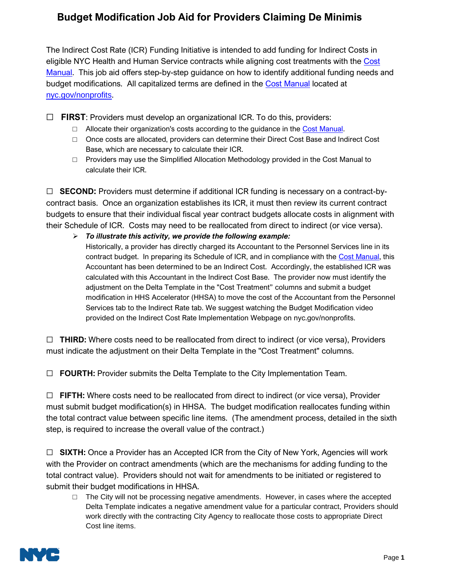## **Budget Modification Job Aid for Providers Claiming De Minimis**

The Indirect Cost Rate (ICR) Funding Initiative is intended to add funding for Indirect Costs in eligible NYC Health and Human Service contracts while aligning cost treatments with the [Cost](https://www1.nyc.gov/site/nonprofits/funded-providers/indirect-implementation.page)  [Manual.](https://www1.nyc.gov/site/nonprofits/funded-providers/indirect-implementation.page) This job aid offers step-by-step guidance on how to identify additional funding needs and budget modifications. All capitalized terms are defined in the [Cost Manual](https://www1.nyc.gov/site/nonprofits/funded-providers/indirect-implementation.page) located at [nyc.gov/nonprofits](https://www1.nyc.gov/site/nonprofits/index.page).

☐ **FIRST**: Providers must develop an organizational ICR. To do this, providers:

- $\Box$  Allocate their organization's costs according to the guidance in the [Cost Manual.](https://www1.nyc.gov/site/nonprofits/funded-providers/indirect-implementation.page)
- □ Once costs are allocated, providers can determine their Direct Cost Base and Indirect Cost Base, which are necessary to calculate their ICR.
- $\Box$  Providers may use the Simplified Allocation Methodology provided in the Cost Manual to calculate their ICR.

☐ **SECOND:** Providers must determine if additional ICR funding is necessary on a contract-bycontract basis. Once an organization establishes its ICR, it must then review its current contract budgets to ensure that their individual fiscal year contract budgets allocate costs in alignment with their Schedule of ICR. Costs may need to be reallocated from direct to indirect (or vice versa).

➢ *To illustrate this activity, we provide the following example:*

Historically, a provider has directly charged its Accountant to the Personnel Services line in its contract budget. In preparing its Schedule of ICR, and in compliance with the [Cost Manual,](https://www1.nyc.gov/site/nonprofits/funded-providers/indirect-implementation.page) this Accountant has been determined to be an Indirect Cost. Accordingly, the established ICR was calculated with this Accountant in the Indirect Cost Base. The provider now must identify the adjustment on the Delta Template in the "Cost Treatment" columns and submit a budget modification in HHS Accelerator (HHSA) to move the cost of the Accountant from the Personnel Services tab to the Indirect Rate tab. We suggest watching the Budget Modification video provided on the Indirect Cost Rate Implementation Webpage on nyc.gov/nonprofits.

☐ **THIRD:** Where costs need to be reallocated from direct to indirect (or vice versa), Providers must indicate the adjustment on their Delta Template in the "Cost Treatment" columns.

☐ **FOURTH:** Provider submits the Delta Template to the City Implementation Team.

☐ **FIFTH:** Where costs need to be reallocated from direct to indirect (or vice versa), Provider must submit budget modification(s) in HHSA. The budget modification reallocates funding within the total contract value between specific line items. (The amendment process, detailed in the sixth step, is required to increase the overall value of the contract.)

☐ **SIXTH:** Once a Provider has an Accepted ICR from the City of New York, Agencies will work with the Provider on contract amendments (which are the mechanisms for adding funding to the total contract value). Providers should not wait for amendments to be initiated or registered to submit their budget modifications in HHSA.

 $\Box$  The City will not be processing negative amendments. However, in cases where the accepted Delta Template indicates a negative amendment value for a particular contract, Providers should work directly with the contracting City Agency to reallocate those costs to appropriate Direct Cost line items.